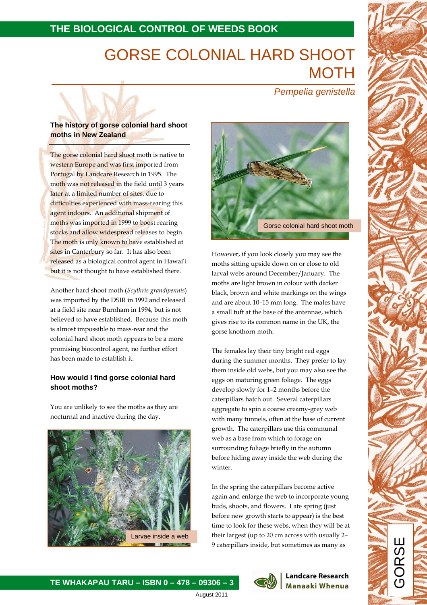# **THE BIOLOGICAL CONTROL OF WEEDS BOOK**

# GORSE COLONIAL HARD SHOOT **MOTH**

Pempelia genistella

# **The history of gorse colonial hard shoot moths in New Zealand**

The gorse colonial hard shoot moth is native to western Europe and was first imported from Portugal by Landcare Research in 1995. The moth was not released in the field until 3 years later at a limited number of sites, due to difficulties experienced with mass-rearing this agent indoors. An additional shipment of moths was imported in 1999 to boost rearing stocks and allow widespread releases to begin. The moth is only known to have established at sites in Canterbury so far. It has also been released as a biological control agent in Hawai'i but it is not thought to have established there.

Another hard shoot moth (Scythris grandipennis) was imported by the DSIR in 1992 and released at a field site near Burnham in 1994, but is not believed to have established. Because this moth is almost impossible to mass-rear and the colonial hard shoot moth appears to be a more promising biocontrol agent, no further effort has been made to establish it.

# **How would I find gorse colonial hard shoot moths?**

You are unlikely to see the moths as they are nocturnal and inactive during the day.



 $\overline{a}$ 



However, if you look closely you may see the moths sitting upside down on or close to old larval webs around December/January. The moths are light brown in colour with darker black, brown and white markings on the wings and are about 10–15 mm long. The males have a small tuft at the base of the antennae, which gives rise to its common name in the UK, the gorse knothorn moth.

The females lay their tiny bright red eggs during the summer months. They prefer to lay them inside old webs, but you may also see the eggs on maturing green foliage. The eggs develop slowly for 1–2 months before the caterpillars hatch out. Several caterpillars aggregate to spin a coarse creamy-grey web with many tunnels, often at the base of current growth. The caterpillars use this communal web as a base from which to forage on surrounding foliage briefly in the autumn before hiding away inside the web during the winter.

In the spring the caterpillars become active again and enlarge the web to incorporate young buds, shoots, and flowers. Late spring (just before new growth starts to appear) is the best time to look for these webs, when they will be at their largest (up to 20 cm across with usually 2– 9 caterpillars inside, but sometimes as many as





#### **Landcare Research Manaaki Whenua**

GORSE

August 2011